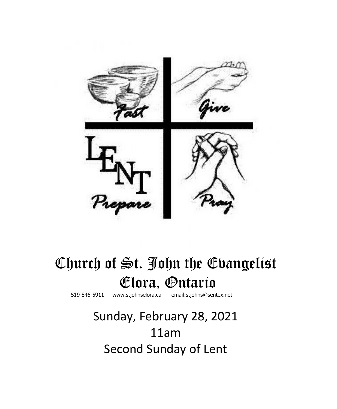

# Church of St. John the Evangelist **Elora**, **Ontario www.stiohnselora.ca email:stiohns@sent**

519-846-5911 [www.stjohnselora.ca email:stjohns@sentex.net](http://www.stjohnselora.ca%20%20%20%20%20%20email:stjohns@sentex.net)

# Sunday, February 28, 2021 11am Second Sunday of Lent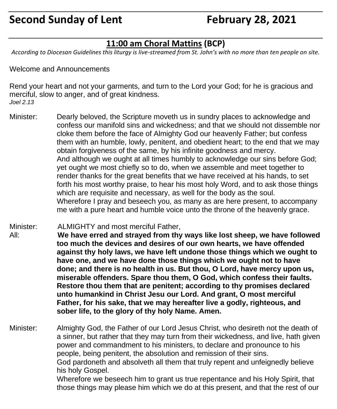### **11:00 am Choral Mattins (BCP)**

*According to Diocesan Guidelines this liturgy is live-streamed from St. John's with no more than ten people on site.*

Welcome and Announcements

Rend your heart and not your garments, and turn to the Lord your God; for he is gracious and merciful, slow to anger, and of great kindness. *Joel 2.13*

- Minister: Dearly beloved, the Scripture moveth us in sundry places to acknowledge and confess our manifold sins and wickedness; and that we should not dissemble nor cloke them before the face of Almighty God our heavenly Father; but confess them with an humble, lowly, penitent, and obedient heart; to the end that we may obtain forgiveness of the same, by his infinite goodness and mercy. And although we ought at all times humbly to acknowledge our sins before God; yet ought we most chiefly so to do, when we assemble and meet together to render thanks for the great benefits that we have received at his hands, to set forth his most worthy praise, to hear his most holy Word, and to ask those things which are requisite and necessary, as well for the body as the soul. Wherefore I pray and beseech you, as many as are here present, to accompany me with a pure heart and humble voice unto the throne of the heavenly grace.
- Minister: ALMIGHTY and most merciful Father, All: **We have erred and strayed from thy ways like lost sheep, we have followed too much the devices and desires of our own hearts, we have offended against thy holy laws, we have left undone those things which we ought to have one, and we have done those things which we ought not to have done; and there is no health in us. But thou, O Lord, have mercy upon us, miserable offenders. Spare thou them, O God, which confess their faults. Restore thou them that are penitent; according to thy promises declared unto humankind in Christ Jesu our Lord. And grant, O most merciful Father, for his sake, that we may hereafter live a godly, righteous, and sober life, to the glory of thy holy Name. Amen.**

Minister: Almighty God, the Father of our Lord Jesus Christ, who desireth not the death of a sinner, but rather that they may turn from their wickedness, and live, hath given power and commandment to his ministers, to declare and pronounce to his people, being penitent, the absolution and remission of their sins. God pardoneth and absolveth all them that truly repent and unfeignedly believe his holy Gospel.

Wherefore we beseech him to grant us true repentance and his Holy Spirit, that those things may please him which we do at this present, and that the rest of our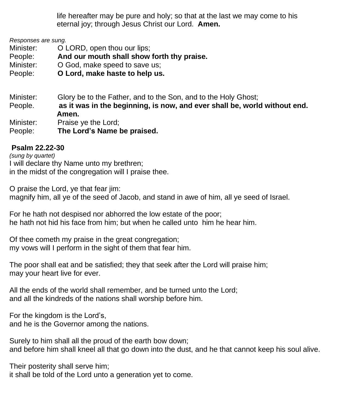life hereafter may be pure and holy; so that at the last we may come to his eternal joy; through Jesus Christ our Lord. **Amen.**

*Responses are sung.*

Minister: **O LORD**, open thou our lips;

People: **And our mouth shall show forth thy praise.**

Minister: **O God, make speed to save us:** 

People: **O Lord, make haste to help us.**

Minister: Glory be to the Father, and to the Son, and to the Holy Ghost; People. **as it was in the beginning, is now, and ever shall be, world without end. Amen.** Minister: Praise ye the Lord; People: **The Lord's Name be praised.**

#### **Psalm 22.22-30**

*(sung by quartet)* I will declare thy Name unto my brethren; in the midst of the congregation will I praise thee.

O praise the Lord, ye that fear jim: magnify him, all ye of the seed of Jacob, and stand in awe of him, all ye seed of Israel.

For he hath not despised nor abhorred the low estate of the poor; he hath not hid his face from him; but when he called unto him he hear him.

Of thee cometh my praise in the great congregation; my vows will I perform in the sight of them that fear him.

The poor shall eat and be satisfied; they that seek after the Lord will praise him; may your heart live for ever.

All the ends of the world shall remember, and be turned unto the Lord; and all the kindreds of the nations shall worship before him.

For the kingdom is the Lord's, and he is the Governor among the nations.

Surely to him shall all the proud of the earth bow down; and before him shall kneel all that go down into the dust, and he that cannot keep his soul alive.

Their posterity shall serve him;

it shall be told of the Lord unto a generation yet to come.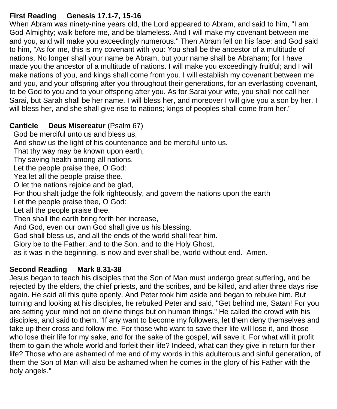#### **First Reading Genesis 17.1-7, 15-16**

When Abram was ninety-nine years old, the Lord appeared to Abram, and said to him, "I am God Almighty; walk before me, and be blameless. And I will make my covenant between me and you, and will make you exceedingly numerous." Then Abram fell on his face; and God said to him, "As for me, this is my covenant with you: You shall be the ancestor of a multitude of nations. No longer shall your name be Abram, but your name shall be Abraham; for I have made you the ancestor of a multitude of nations. I will make you exceedingly fruitful; and I will make nations of you, and kings shall come from you. I will establish my covenant between me and you, and your offspring after you throughout their generations, for an everlasting covenant, to be God to you and to your offspring after you. As for Sarai your wife, you shall not call her Sarai, but Sarah shall be her name. I will bless her, and moreover I will give you a son by her. I will bless her, and she shall give rise to nations; kings of peoples shall come from her."

#### **Canticle Deus Misereatur** (Psalm 67)

God be merciful unto us and bless us,

And show us the light of his countenance and be merciful unto us.

That thy way may be known upon earth,

Thy saving health among all nations.

Let the people praise thee, O God:

Yea let all the people praise thee.

O let the nations rejoice and be glad,

For thou shalt judge the folk righteously, and govern the nations upon the earth

Let the people praise thee, O God:

Let all the people praise thee.

Then shall the earth bring forth her increase,

And God, even our own God shall give us his blessing.

God shall bless us, and all the ends of the world shall fear him.

Glory be to the Father, and to the Son, and to the Holy Ghost,

as it was in the beginning, is now and ever shall be, world without end. Amen.

#### **Second Reading Mark 8.31-38**

Jesus began to teach his disciples that the Son of Man must undergo great suffering, and be rejected by the elders, the chief priests, and the scribes, and be killed, and after three days rise again. He said all this quite openly. And Peter took him aside and began to rebuke him. But turning and looking at his disciples, he rebuked Peter and said, "Get behind me, Satan! For you are setting your mind not on divine things but on human things." He called the crowd with his disciples, and said to them, "If any want to become my followers, let them deny themselves and take up their cross and follow me. For those who want to save their life will lose it, and those who lose their life for my sake, and for the sake of the gospel, will save it. For what will it profit them to gain the whole world and forfeit their life? Indeed, what can they give in return for their life? Those who are ashamed of me and of my words in this adulterous and sinful generation, of them the Son of Man will also be ashamed when he comes in the glory of his Father with the holy angels."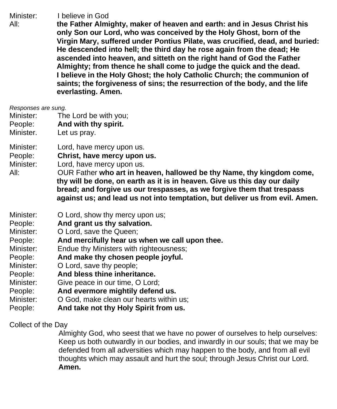Minister: I believe in God

All: **the Father Almighty, maker of heaven and earth: and in Jesus Christ his only Son our Lord, who was conceived by the Holy Ghost, born of the Virgin Mary, suffered under Pontius Pilate, was crucified, dead, and buried: He descended into hell; the third day he rose again from the dead; He ascended into heaven, and sitteth on the right hand of God the Father Almighty; from thence he shall come to judge the quick and the dead. I believe in the Holy Ghost; the holy Catholic Church; the communion of saints; the forgiveness of sins; the resurrection of the body, and the life everlasting. Amen.**

- Minister: The Lord be with you;
- People: **And with thy spirit.**
- Minister. Let us pray.
- Minister: Lord, have mercy upon us.
- People: **Christ, have mercy upon us.**

Minister: Lord, have mercy upon us.

All: OUR Father **who art in heaven, hallowed be thy Name, thy kingdom come, thy will be done, on earth as it is in heaven. Give us this day our daily bread; and forgive us our trespasses, as we forgive them that trespass against us; and lead us not into temptation, but deliver us from evil. Amen.**

- Minister: **O** Lord, show thy mercy upon us;
- People: **And grant us thy salvation.**
- Minister: O Lord, save the Queen;
- People: **And mercifully hear us when we call upon thee.**
- Minister: Endue thy Ministers with righteousness:
- People: **And make thy chosen people joyful.**
- Minister: O Lord, save thy people;
- People: **And bless thine inheritance.**
- Minister: Give peace in our time, O Lord;
- People: **And evermore mightily defend us.**
- Minister: O God, make clean our hearts within us;
- People: **And take not thy Holy Spirit from us.**

Collect of the Day

 Almighty God, who seest that we have no power of ourselves to help ourselves: Keep us both outwardly in our bodies, and inwardly in our souls; that we may be defended from all adversities which may happen to the body, and from all evil thoughts which may assault and hurt the soul; through Jesus Christ our Lord. **Amen.**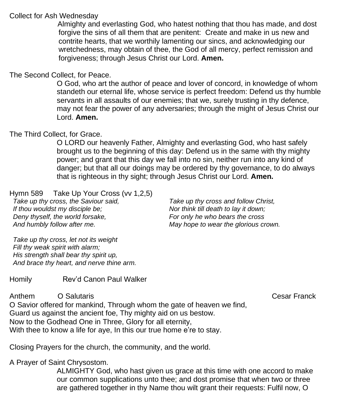#### Collect for Ash Wednesday

Almighty and everlasting God, who hatest nothing that thou has made, and dost forgive the sins of all them that are penitent: Create and make in us new and contrite hearts, that we worthily lamenting our sincs, and acknowledging our wretchedness, may obtain of thee, the God of all mercy, perfect remission and forgiveness; through Jesus Christ our Lord. **Amen.**

#### The Second Collect, for Peace.

O God, who art the author of peace and lover of concord, in knowledge of whom standeth our eternal life, whose service is perfect freedom: Defend us thy humble servants in all assaults of our enemies; that we, surely trusting in thy defence, may not fear the power of any adversaries; through the might of Jesus Christ our Lord. **Amen.**

#### The Third Collect, for Grace.

O LORD our heavenly Father, Almighty and everlasting God, who hast safely brought us to the beginning of this day: Defend us in the same with thy mighty power; and grant that this day we fall into no sin, neither run into any kind of danger; but that all our doings may be ordered by thy governance, to do always that is righteous in thy sight; through Jesus Christ our Lord. **Amen.**

Hymn 589 Take Up Your Cross (vv 1,2,5)

*Take up thy cross, the Saviour said, If thou wouldst my disciple be; Deny thyself, the world forsake, And humbly follow after me.*

*Take up thy cross and follow Christ, Nor think till death to lay it down; For only he who bears the cross May hope to wear the glorious crown.*

*Take up thy cross, let not its weight Fill thy weak spirit with alarm; His strength shall bear thy spirit up, And brace thy heart, and nerve thine arm.*

#### Homily Rev'd Canon Paul Walker

Anthem O SalutarisCesar Franck O Savior offered for mankind, Through whom the gate of heaven we find, Guard us against the ancient foe, Thy mighty aid on us bestow. Now to the Godhead One in Three, Glory for all eternity, With thee to know a life for aye, In this our true home e're to stay.

Closing Prayers for the church, the community, and the world.

A Prayer of Saint Chrysostom.

ALMIGHTY God, who hast given us grace at this time with one accord to make our common supplications unto thee; and dost promise that when two or three are gathered together in thy Name thou wilt grant their requests: Fulfil now, O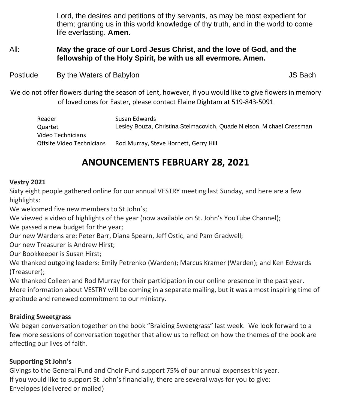Lord, the desires and petitions of thy servants, as may be most expedient for them; granting us in this world knowledge of thy truth, and in the world to come life everlasting. **Amen.**

#### All: **May the grace of our Lord Jesus Christ, and the love of God, and the fellowship of the Holy Spirit, be with us all evermore. Amen.**

Postlude By the Waters of Babylon **Bullet Contract Contract Contract Contract Contract Contract Contract Contract Contract Contract Contract Contract Contract Contract Contract Contract Contract Contract Contract Contract** 

We do not offer flowers during the season of Lent, however, if you would like to give flowers in memory of loved ones for Easter, please contact Elaine Dightam at 519-843-5091

| Reader                    | Susan Edwards                                                         |
|---------------------------|-----------------------------------------------------------------------|
| Ouartet                   | Lesley Bouza, Christina Stelmacovich, Quade Nielson, Michael Cressman |
| Video Technicians         |                                                                       |
| Offsite Video Technicians | Rod Murray, Steve Hornett, Gerry Hill                                 |

## **ANOUNCEMENTS FEBRUARY 28, 2021**

#### **Vestry 2021**

Sixty eight people gathered online for our annual VESTRY meeting last Sunday, and here are a few highlights:

We welcomed five new members to St John's;

We viewed a video of highlights of the year (now available on St. John's YouTube Channel);

We passed a new budget for the year;

Our new Wardens are: Peter Barr, Diana Spearn, Jeff Ostic, and Pam Gradwell;

Our new Treasurer is Andrew Hirst;

Our Bookkeeper is Susan Hirst;

We thanked outgoing leaders: Emily Petrenko (Warden); Marcus Kramer (Warden); and Ken Edwards (Treasurer);

We thanked Colleen and Rod Murray for their participation in our online presence in the past year. More information about VESTRY will be coming in a separate mailing, but it was a most inspiring time of gratitude and renewed commitment to our ministry.

#### **Braiding Sweetgrass**

We began conversation together on the book "Braiding Sweetgrass" last week. We look forward to a few more sessions of conversation together that allow us to reflect on how the themes of the book are affecting our lives of faith.

#### **Supporting St John's**

Givings to the General Fund and Choir Fund support 75% of our annual expenses this year. If you would like to support St. John's financially, there are several ways for you to give: Envelopes (delivered or mailed)